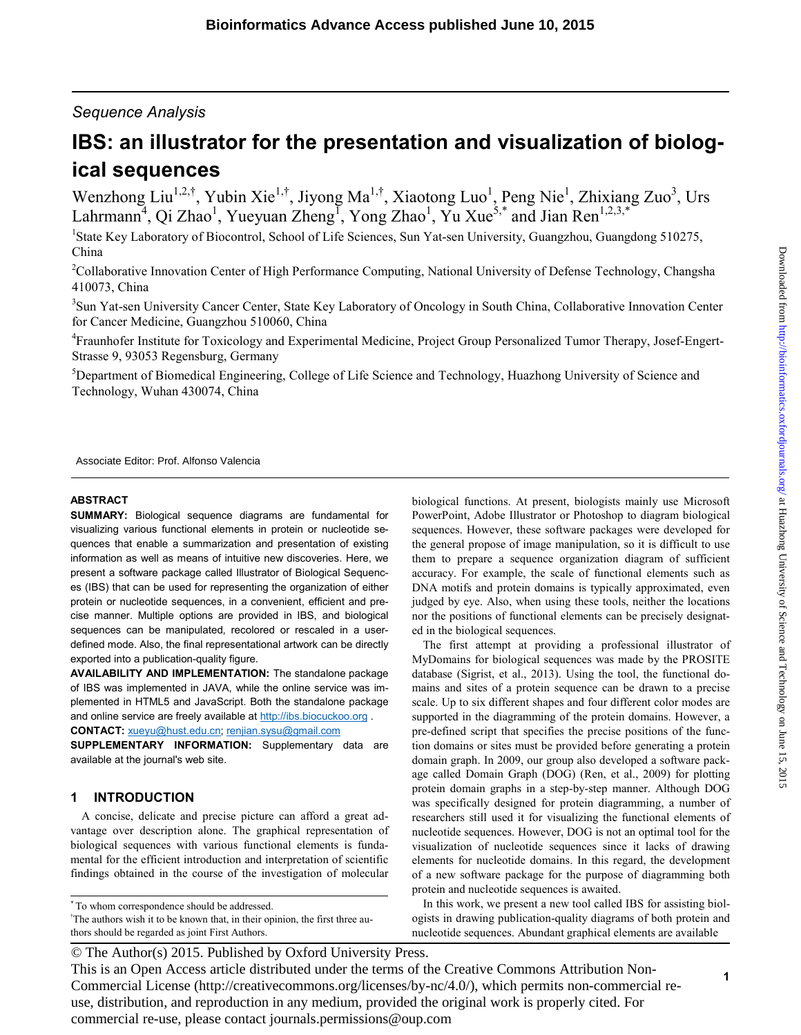# *Sequence Analysis*

# **IBS: an illustrator for the presentation and visualization of biological sequences**

Wenzhong Liu<sup>1,2,†</sup>, Yubin Xie<sup>1,†</sup>, Jiyong Ma<sup>1,†</sup>, Xiaotong Luo<sup>1</sup>, Peng Nie<sup>1</sup>, Zhixiang Zuo<sup>3</sup>, Urs Lahrmann<sup>4</sup>, Qi Zhao<sup>1</sup>, Yueyuan Zheng<sup>I</sup>, Yong Zhao<sup>1</sup>, Yu Xue<sup>5,\*</sup> and Jian Ren<sup>1,2,3,\*</sup>

<sup>1</sup>State Key Laboratory of Biocontrol, School of Life Sciences, Sun Yat-sen University, Guangzhou, Guangdong 510275, China

<sup>2</sup>Collaborative Innovation Center of High Performance Computing, National University of Defense Technology, Changsha 410073, China

<sup>3</sup>Sun Yat-sen University Cancer Center, State Key Laboratory of Oncology in South China, Collaborative Innovation Center for Cancer Medicine, Guangzhou 510060, China

<sup>4</sup> Fraunhofer Institute for Toxicology and Experimental Medicine, Project Group Personalized Tumor Therapy, Josef-Engert-Strasse 9, 93053 Regensburg, Germany

<sup>5</sup>Department of Biomedical Engineering, College of Life Science and Technology, Huazhong University of Science and Technology, Wuhan 430074, China

Associate Editor: Prof. Alfonso Valencia

#### **ABSTRACT**

**SUMMARY:** Biological sequence diagrams are fundamental for visualizing various functional elements in protein or nucleotide sequences that enable a summarization and presentation of existing information as well as means of intuitive new discoveries. Here, we present a software package called Illustrator of Biological Sequences (IBS) that can be used for representing the organization of either protein or nucleotide sequences, in a convenient, efficient and precise manner. Multiple options are provided in IBS, and biological sequences can be manipulated, recolored or rescaled in a userdefined mode. Also, the final representational artwork can be directly exported into a publication-quality figure.

**AVAILABILITY AND IMPLEMENTATION:** The standalone package of IBS was implemented in JAVA, while the online service was implemented in HTML5 and JavaScript. Both the standalone package and online service are freely available at http://ibs.biocuckoo.org . **CONTACT:** xueyu@hust.edu.cn; renjian.sysu@gmail.com

**SUPPLEMENTARY INFORMATION:** Supplementary data are

# **1 INTRODUCTION**

available at the journal's web site.

A concise, delicate and precise picture can afford a great advantage over description alone. The graphical representation of biological sequences with various functional elements is fundamental for the efficient introduction and interpretation of scientific findings obtained in the course of the investigation of molecular

\* To whom correspondence should be addressed.

† The authors wish it to be known that, in their opinion, the first three authors should be regarded as joint First Authors.

biological functions. At present, biologists mainly use Microsoft PowerPoint, Adobe Illustrator or Photoshop to diagram biological sequences. However, these software packages were developed for the general propose of image manipulation, so it is difficult to use them to prepare a sequence organization diagram of sufficient accuracy. For example, the scale of functional elements such as DNA motifs and protein domains is typically approximated, even judged by eye. Also, when using these tools, neither the locations nor the positions of functional elements can be precisely designated in the biological sequences.

The first attempt at providing a professional illustrator of MyDomains for biological sequences was made by the PROSITE database (Sigrist, et al., 2013). Using the tool, the functional domains and sites of a protein sequence can be drawn to a precise scale. Up to six different shapes and four different color modes are supported in the diagramming of the protein domains. However, a pre-defined script that specifies the precise positions of the function domains or sites must be provided before generating a protein domain graph. In 2009, our group also developed a software package called Domain Graph (DOG) (Ren, et al., 2009) for plotting protein domain graphs in a step-by-step manner. Although DOG was specifically designed for protein diagramming, a number of researchers still used it for visualizing the functional elements of nucleotide sequences. However, DOG is not an optimal tool for the visualization of nucleotide sequences since it lacks of drawing elements for nucleotide domains. In this regard, the development of a new software package for the purpose of diagramming both protein and nucleotide sequences is awaited.

In this work, we present a new tool called IBS for assisting biologists in drawing publication-quality diagrams of both protein and nucleotide sequences. Abundant graphical elements are available

This is an Open Access article distributed under the terms of the Creative Commons Attribution Non-Commercial License (http://creativecommons.org/licenses/by-nc/4.0/), which permits non-commercial reuse, distribution, and reproduction in any medium, provided the original work is properly cited. For commercial re-use, please contact journals.permissions@oup.com

<sup>©</sup> The Author(s) 2015. Published by Oxford University Press.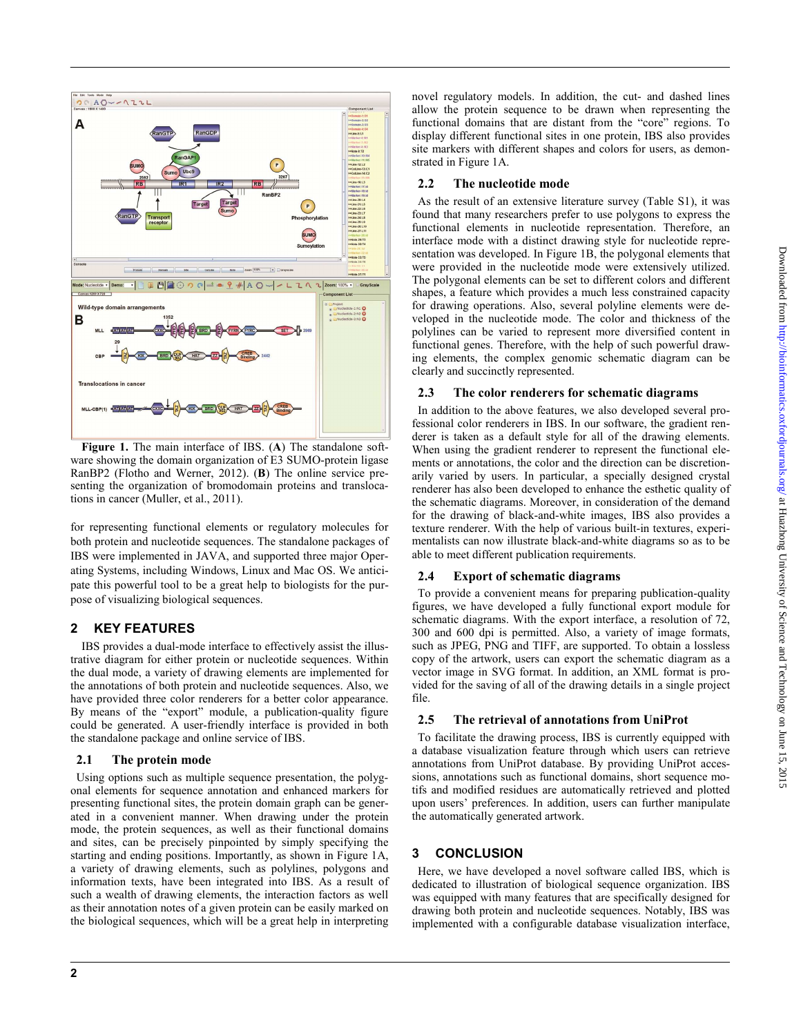

**Figure 1.** The main interface of IBS. (**A**) The standalone software showing the domain organization of E3 SUMO-protein ligase RanBP2 (Flotho and Werner, 2012). (**B**) The online service presenting the organization of bromodomain proteins and translocations in cancer (Muller, et al., 2011).

for representing functional elements or regulatory molecules for both protein and nucleotide sequences. The standalone packages of IBS were implemented in JAVA, and supported three major Operating Systems, including Windows, Linux and Mac OS. We anticipate this powerful tool to be a great help to biologists for the purpose of visualizing biological sequences.

# **2 KEY FEATURES**

IBS provides a dual-mode interface to effectively assist the illustrative diagram for either protein or nucleotide sequences. Within the dual mode, a variety of drawing elements are implemented for the annotations of both protein and nucleotide sequences. Also, we have provided three color renderers for a better color appearance. By means of the "export" module, a publication-quality figure could be generated. A user-friendly interface is provided in both the standalone package and online service of IBS.

#### **2.1 The protein mode**

 Using options such as multiple sequence presentation, the polygonal elements for sequence annotation and enhanced markers for presenting functional sites, the protein domain graph can be generated in a convenient manner. When drawing under the protein mode, the protein sequences, as well as their functional domains and sites, can be precisely pinpointed by simply specifying the starting and ending positions. Importantly, as shown in Figure 1A, a variety of drawing elements, such as polylines, polygons and information texts, have been integrated into IBS. As a result of such a wealth of drawing elements, the interaction factors as well as their annotation notes of a given protein can be easily marked on the biological sequences, which will be a great help in interpreting novel regulatory models. In addition, the cut- and dashed lines allow the protein sequence to be drawn when representing the functional domains that are distant from the "core" regions. To display different functional sites in one protein, IBS also provides site markers with different shapes and colors for users, as demonstrated in Figure 1A.

## **2.2 The nucleotide mode**

 As the result of an extensive literature survey (Table S1), it was found that many researchers prefer to use polygons to express the functional elements in nucleotide representation. Therefore, an interface mode with a distinct drawing style for nucleotide representation was developed. In Figure 1B, the polygonal elements that were provided in the nucleotide mode were extensively utilized. The polygonal elements can be set to different colors and different shapes, a feature which provides a much less constrained capacity for drawing operations. Also, several polyline elements were developed in the nucleotide mode. The color and thickness of the polylines can be varied to represent more diversified content in functional genes. Therefore, with the help of such powerful drawing elements, the complex genomic schematic diagram can be clearly and succinctly represented.

### **2.3 The color renderers for schematic diagrams**

 In addition to the above features, we also developed several professional color renderers in IBS. In our software, the gradient renderer is taken as a default style for all of the drawing elements. When using the gradient renderer to represent the functional elements or annotations, the color and the direction can be discretionarily varied by users. In particular, a specially designed crystal renderer has also been developed to enhance the esthetic quality of the schematic diagrams. Moreover, in consideration of the demand for the drawing of black-and-white images, IBS also provides a texture renderer. With the help of various built-in textures, experimentalists can now illustrate black-and-white diagrams so as to be able to meet different publication requirements.

# **2.4 Export of schematic diagrams**

 To provide a convenient means for preparing publication-quality figures, we have developed a fully functional export module for schematic diagrams. With the export interface, a resolution of 72, 300 and 600 dpi is permitted. Also, a variety of image formats, such as JPEG, PNG and TIFF, are supported. To obtain a lossless copy of the artwork, users can export the schematic diagram as a vector image in SVG format. In addition, an XML format is provided for the saving of all of the drawing details in a single project file.

# **2.5 The retrieval of annotations from UniProt**

To facilitate the drawing process, IBS is currently equipped with a database visualization feature through which users can retrieve annotations from UniProt database. By providing UniProt accessions, annotations such as functional domains, short sequence motifs and modified residues are automatically retrieved and plotted upon users' preferences. In addition, users can further manipulate the automatically generated artwork.

# **3 CONCLUSION**

 Here, we have developed a novel software called IBS, which is dedicated to illustration of biological sequence organization. IBS was equipped with many features that are specifically designed for drawing both protein and nucleotide sequences. Notably, IBS was implemented with a configurable database visualization interface,